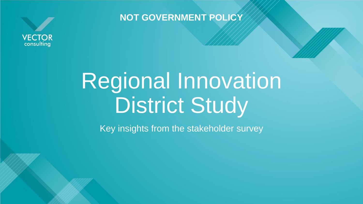

**NOT GOVERNMENT POLICY**

# Regional Innovation District Study

Key insights from the stakeholder survey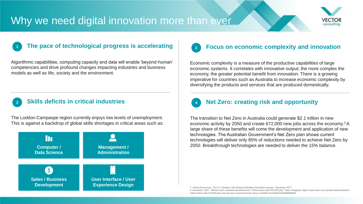### Why we need digital innovation more than ever



#### **The pace of technological progress is accelerating 1**

Algorithmic capabilities, computing capacity and data will enable 'beyond-human' competencies and drive profound changes impacting industries and business models as well as life, society and the environment.

### **Skills deficits in critical industries**

**3**

The Loddon Campaspe region currently enjoys low levels of unemployment. This is against a backdrop of global skills shortages in critical areas such as:



#### **Focus on economic complexity and innovation 2**

Economic complexity is a measure of the productive capabilities of large economic systems. It correlates with innovative output; the more complex the economy, the greater potential benefit from innovation. There is a growing imperative for countries such as Australia to increase economic complexity by diversifying the products and services that are produced domestically.



### **Net Zero: creating risk and opportunity**

The transition to Net Zero in Australia could generate \$2.1 trillion in new economic activity by 2050 and create 672,000 new jobs across the economy.<sup>2</sup>A large share of these benefits will come the development and application of new technologies. The Australian Government's Net Zero plan shows current technologies will deliver only 85% of reductions needed to achieve Net Zero by 2050. Breakthrough technologies are needed to deliver the 15% balance.

1. Oxford Economics. 'The A.I. Paradox: How Robots Will Make Work More Human.' December 2017.

2. Accenture. 2021. "Mission Zero: Australia will achieve \$2.1 trillion future with 672,000 jobs." Daily Telegraph. https://www.news.com.au/national/australias2 trillion-future-with-672000-jobs-and-net-zero-emissions/news-story/ c1c943fc13ce526be2533d896f6ff9e8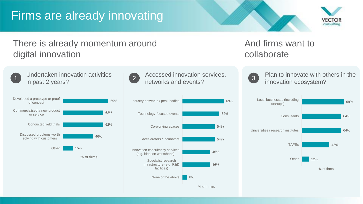## Firms are already innovating



### There is already momentum around digital innovation



Undertaken innovation activities  $\overline{1}$  in past 2 years?





Accessed innovation services, 2 Accessed Innovation s



### And firms want to collaborate



Plan to innovate with others in the 3 Plan to innovate with of

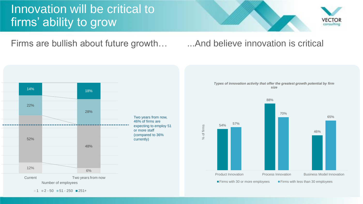## Innovation will be critical to firms' ability to grow



Firms are bullish about future growth... And believe innovation is critical



Two years from now, 46% of firms are expecting to employ 51 or more staff (compared to 36%





 $1 \equiv 2 - 50 \equiv 51 - 250 \equiv 251 +$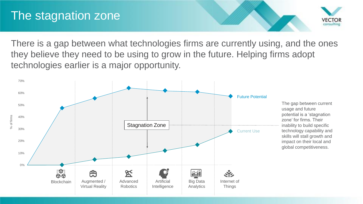## The stagnation zone



There is a gap between what technologies firms are currently using, and the ones they believe they need to be using to grow in the future. Helping firms adopt technologies earlier is a major opportunity.

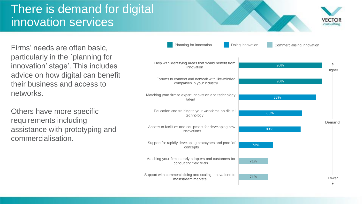## There is demand for digital innovation services



Firms' needs are often basic, particularly in the `planning for innovation' stage'. This includes advice on how digital can benefit their business and access to networks.

Others have more specific requirements including assistance with prototyping and commercialisation.